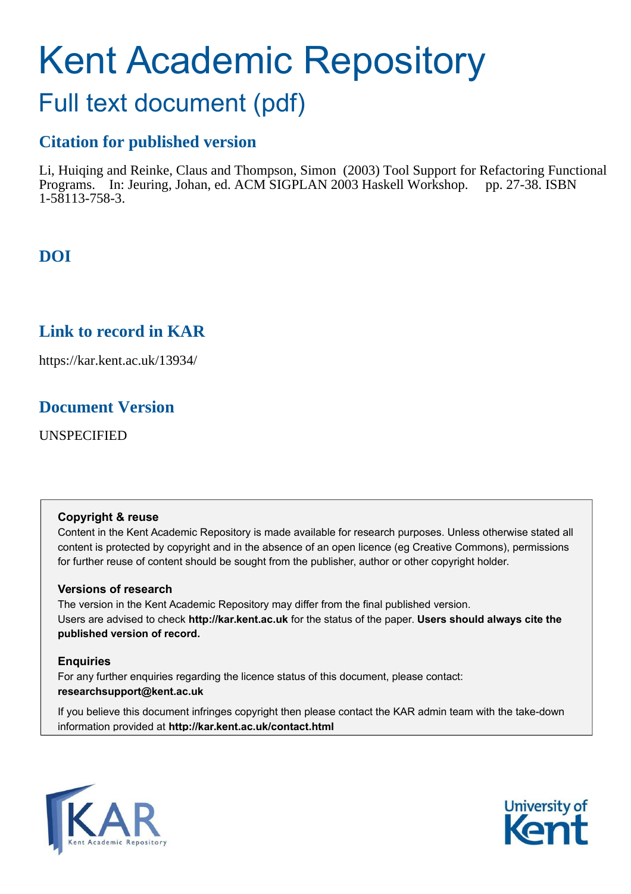# Kent Academic Repository

# Full text document (pdf)

# **Citation for published version**

Li, Huiqing and Reinke, Claus and Thompson, Simon (2003) Tool Support for Refactoring Functional Programs. In: Jeuring, Johan, ed. ACM SIGPLAN 2003 Haskell Workshop. pp. 27-38. ISBN 1-58113-758-3.

# **DOI**

# **Link to record in KAR**

https://kar.kent.ac.uk/13934/

# **Document Version**

UNSPECIFIED

# **Copyright & reuse**

Content in the Kent Academic Repository is made available for research purposes. Unless otherwise stated all content is protected by copyright and in the absence of an open licence (eg Creative Commons), permissions for further reuse of content should be sought from the publisher, author or other copyright holder.

# **Versions of research**

The version in the Kent Academic Repository may differ from the final published version. Users are advised to check **http://kar.kent.ac.uk** for the status of the paper. **Users should always cite the published version of record.**

# **Enquiries**

For any further enquiries regarding the licence status of this document, please contact: **researchsupport@kent.ac.uk**

If you believe this document infringes copyright then please contact the KAR admin team with the take-down information provided at **http://kar.kent.ac.uk/contact.html**



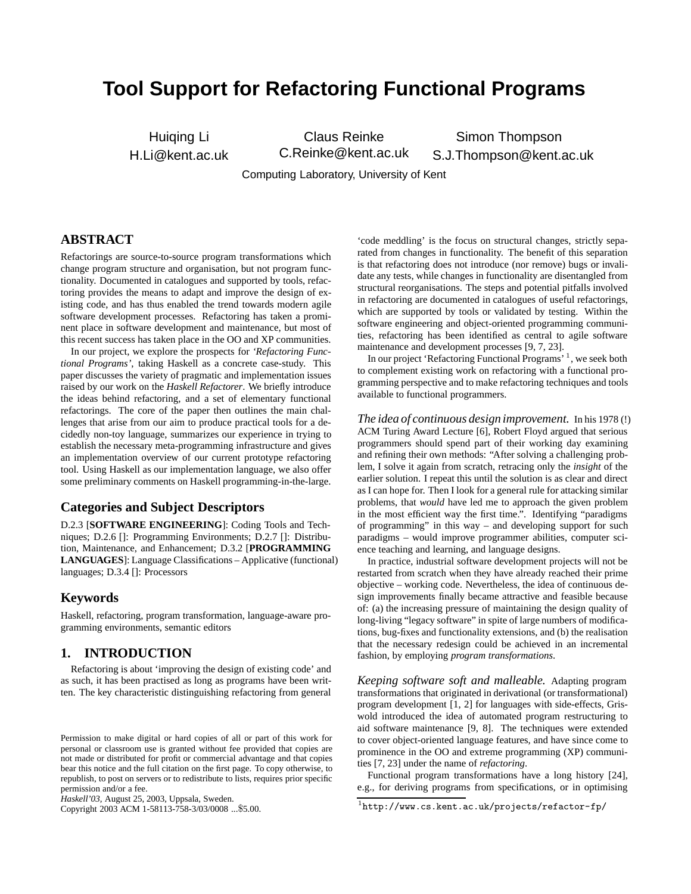# **Tool Support for Refactoring Functional Programs**

Huiqing Li H.Li@kent.ac.uk

Claus Reinke C.Reinke@kent.ac.uk

Simon Thompson S.J.Thompson@kent.ac.uk

Computing Laboratory, University of Kent

## **ABSTRACT**

Refactorings are source-to-source program transformations which change program structure and organisation, but not program functionality. Documented in catalogues and supported by tools, refactoring provides the means to adapt and improve the design of existing code, and has thus enabled the trend towards modern agile software development processes. Refactoring has taken a prominent place in software development and maintenance, but most of this recent success has taken place in the OO and XP communities.

In our project, we explore the prospects for *'Refactoring Functional Programs'*, taking Haskell as a concrete case-study. This paper discusses the variety of pragmatic and implementation issues raised by our work on the *Haskell Refactorer*. We briefly introduce the ideas behind refactoring, and a set of elementary functional refactorings. The core of the paper then outlines the main challenges that arise from our aim to produce practical tools for a decidedly non-toy language, summarizes our experience in trying to establish the necessary meta-programming infrastructure and gives an implementation overview of our current prototype refactoring tool. Using Haskell as our implementation language, we also offer some preliminary comments on Haskell programming-in-the-large.

## **Categories and Subject Descriptors**

D.2.3 [**SOFTWARE ENGINEERING**]: Coding Tools and Techniques; D.2.6 []: Programming Environments; D.2.7 []: Distribution, Maintenance, and Enhancement; D.3.2 [**PROGRAMMING LANGUAGES**]: Language Classifications – Applicative (functional) languages; D.3.4 []: Processors

#### **Keywords**

Haskell, refactoring, program transformation, language-aware programming environments, semantic editors

## **1. INTRODUCTION**

Refactoring is about 'improving the design of existing code' and as such, it has been practised as long as programs have been written. The key characteristic distinguishing refactoring from general

Copyright 2003 ACM 1-58113-758-3/03/0008 ...\$5.00.

'code meddling' is the focus on structural changes, strictly separated from changes in functionality. The benefit of this separation is that refactoring does not introduce (nor remove) bugs or invalidate any tests, while changes in functionality are disentangled from structural reorganisations. The steps and potential pitfalls involved in refactoring are documented in catalogues of useful refactorings, which are supported by tools or validated by testing. Within the software engineering and object-oriented programming communities, refactoring has been identified as central to agile software maintenance and development processes [9, 7, 23].

In our project 'Refactoring Functional Programs'<sup>1</sup>, we seek both to complement existing work on refactoring with a functional programming perspective and to make refactoring techniques and tools available to functional programmers.

*The idea of continuous design improvement.* In his 1978 (!) ACM Turing Award Lecture [6], Robert Floyd argued that serious programmers should spend part of their working day examining and refining their own methods: "After solving a challenging problem, I solve it again from scratch, retracing only the *insight* of the earlier solution. I repeat this until the solution is as clear and direct as I can hope for. Then I look for a general rule for attacking similar problems, that *would* have led me to approach the given problem in the most efficient way the first time.". Identifying "paradigms of programming" in this way – and developing support for such paradigms – would improve programmer abilities, computer science teaching and learning, and language designs.

In practice, industrial software development projects will not be restarted from scratch when they have already reached their prime objective – working code. Nevertheless, the idea of continuous design improvements finally became attractive and feasible because of: (a) the increasing pressure of maintaining the design quality of long-living "legacy software" in spite of large numbers of modifications, bug-fixes and functionality extensions, and (b) the realisation that the necessary redesign could be achieved in an incremental fashion, by employing *program transformations*.

*Keeping software soft and malleable.* Adapting program transformations that originated in derivational (or transformational) program development [1, 2] for languages with side-effects, Griswold introduced the idea of automated program restructuring to aid software maintenance [9, 8]. The techniques were extended to cover object-oriented language features, and have since come to prominence in the OO and extreme programming (XP) communities [7, 23] under the name of *refactoring*.

Functional program transformations have a long history [24], e.g., for deriving programs from specifications, or in optimising

Permission to make digital or hard copies of all or part of this work for personal or classroom use is granted without fee provided that copies are not made or distributed for profit or commercial advantage and that copies bear this notice and the full citation on the first page. To copy otherwise, to republish, to post on servers or to redistribute to lists, requires prior specific permission and/or a fee.

*Haskell'03,* August 25, 2003, Uppsala, Sweden.

 $^{\rm 1}$ http://www.cs.kent.ac.uk/projects/refactor-fp/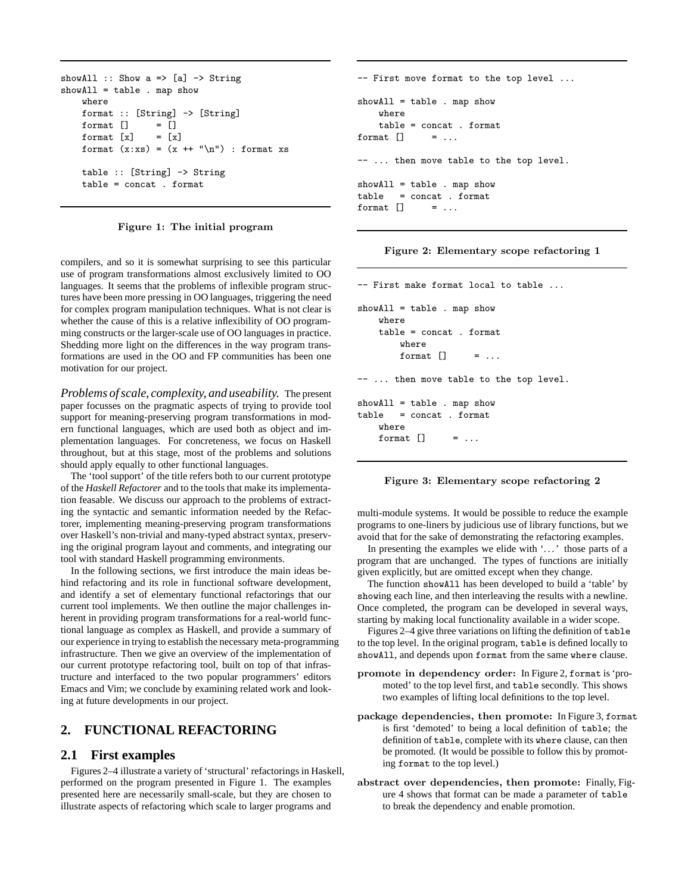```
showAll :: Show a \Rightarrow [a] \Rightarrow String
showAll = table . map show
    where
    format :: [String] -> [String]
    format [] = []format [x] = [x]format (x:xs) = (x + + "\n"): format xs
    table :: [String] -> String
    table = concat . format
```
#### Figure 1: The initial program

compilers, and so it is somewhat surprising to see this particular use of program transformations almost exclusively limited to OO languages. It seems that the problems of inflexible program structures have been more pressing in OO languages, triggering the need for complex program manipulation techniques. What is not clear is whether the cause of this is a relative inflexibility of OO programming constructs or the larger-scale use of OO languages in practice. Shedding more light on the differences in the way program transformations are used in the OO and FP communities has been one motivation for our project.

*Problems of scale, complexity, and useability.* The present paper focusses on the pragmatic aspects of trying to provide tool support for meaning-preserving program transformations in modern functional languages, which are used both as object and implementation languages. For concreteness, we focus on Haskell throughout, but at this stage, most of the problems and solutions should apply equally to other functional languages.

The 'tool support' of the title refers both to our current prototype of the *Haskell Refactorer* and to the tools that make its implementation feasable. We discuss our approach to the problems of extracting the syntactic and semantic information needed by the Refactorer, implementing meaning-preserving program transformations over Haskell's non-trivial and many-typed abstract syntax, preserving the original program layout and comments, and integrating our tool with standard Haskell programming environments.

In the following sections, we first introduce the main ideas behind refactoring and its role in functional software development, and identify a set of elementary functional refactorings that our current tool implements. We then outline the major challenges inherent in providing program transformations for a real-world functional language as complex as Haskell, and provide a summary of our experience in trying to establish the necessary meta-programming infrastructure. Then we give an overview of the implementation of our current prototype refactoring tool, built on top of that infrastructure and interfaced to the two popular programmers' editors Emacs and Vim; we conclude by examining related work and looking at future developments in our project.

#### **2. FUNCTIONAL REFACTORING**

#### **2.1 First examples**

Figures 2–4 illustrate a variety of 'structural' refactorings in Haskell, performed on the program presented in Figure 1. The examples presented here are necessarily small-scale, but they are chosen to illustrate aspects of refactoring which scale to larger programs and

```
-- First move format to the top level ...
showAll = table . map show
   where
    table = concat . format
format [] = ...
-- ... then move table to the top level.
showAll = table . map show
table = concat . format
format [] = ...
```
#### Figure 2: Elementary scope refactoring 1

```
-- First make format local to table ...
showAll = table . map show
   where
   table = concat . format
       where
       format [] = ...
-- ... then move table to the top level.
showAll = table . map show
table = concat . format
   where
   format \Box = ...
```
#### Figure 3: Elementary scope refactoring 2

multi-module systems. It would be possible to reduce the example programs to one-liners by judicious use of library functions, but we avoid that for the sake of demonstrating the refactoring examples.

In presenting the examples we elide with '...' those parts of a program that are unchanged. The types of functions are initially given explicitly, but are omitted except when they change.

The function showAll has been developed to build a 'table' by showing each line, and then interleaving the results with a newline. Once completed, the program can be developed in several ways, starting by making local functionality available in a wider scope.

Figures 2–4 give three variations on lifting the definition of table to the top level. In the original program, table is defined locally to showAll, and depends upon format from the same where clause.

- promote in dependency order: In Figure 2, format is 'promoted' to the top level first, and table secondly. This shows two examples of lifting local definitions to the top level.
- package dependencies, then promote: In Figure 3, format is first 'demoted' to being a local definition of table; the definition of table, complete with its where clause, can then be promoted. (It would be possible to follow this by promoting format to the top level.)
- abstract over dependencies, then promote: Finally, Figure 4 shows that format can be made a parameter of table to break the dependency and enable promotion.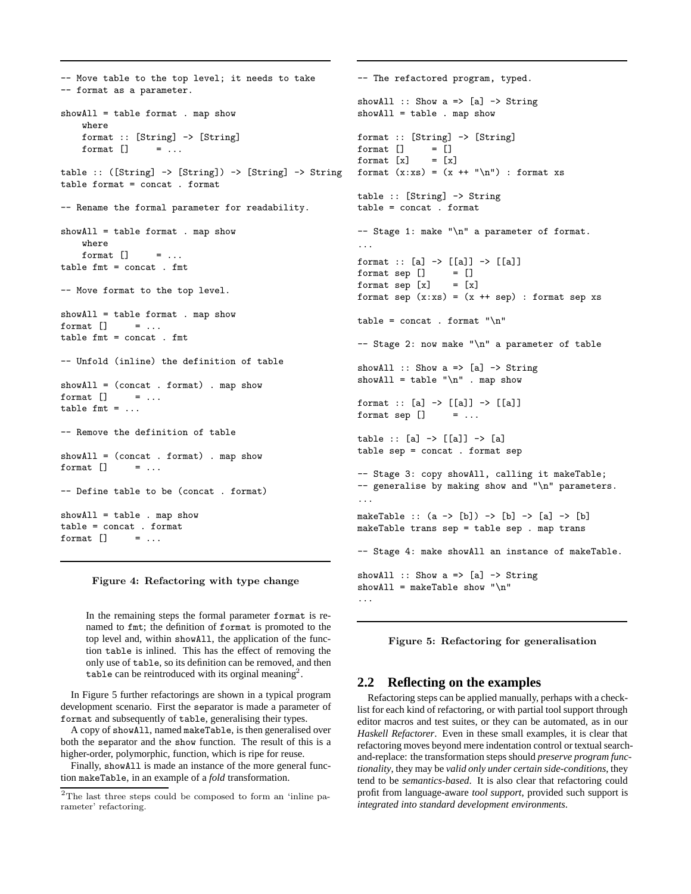```
-- Move table to the top level; it needs to take
-- format as a parameter.
showAll = table format . map show
    where
    format :: [String] -> [String]
    format [] = ...
table :: ([String] \rightarrow [String]) \rightarrow [String] \rightarrow String
table format = concat . format
-- Rename the formal parameter for readability.
showAll = table format . map show
    where
    format [] = ...
table fmt = concat . fmt
-- Move format to the top level.
showAll = table format . map show
format [] = \ldotstable fmt = concat . fmt
-- Unfold (inline) the definition of table
showAll = (concat . format) . map show
format [] = ...
table fmt = \dots-- Remove the definition of table
showAll = (concat . format) . map show
format \begin{bmatrix} 1 & 1 \\ 1 & 1 \end{bmatrix}-- Define table to be (concat . format)
showAll = table . map show
table = concat . format
format [] = ...
```
#### Figure 4: Refactoring with type change

In the remaining steps the formal parameter format is renamed to fmt; the definition of format is promoted to the top level and, within showAll, the application of the function table is inlined. This has the effect of removing the only use of table, so its definition can be removed, and then table can be reintroduced with its orginal meaning<sup>2</sup>.

In Figure 5 further refactorings are shown in a typical program development scenario. First the separator is made a parameter of format and subsequently of table, generalising their types.

A copy of showAll, named makeTable, is then generalised over both the separator and the show function. The result of this is a higher-order, polymorphic, function, which is ripe for reuse.

Finally, showAll is made an instance of the more general function makeTable, in an example of a *fold* transformation.

-- The refactored program, typed. showAll :: Show  $a \Rightarrow [a] \Rightarrow$  String showAll = table . map show format :: [String] -> [String] format  $[] = []$ format  $[x] = [x]$ format  $(x:xs) = (x + + "n")$ : format xs table :: [String] -> String table = concat . format -- Stage 1: make "\n" a parameter of format. ... format :: [a]  $\rightarrow$  [[a]]  $\rightarrow$  [[a]] format sep  $[]$  =  $[]$ format sep  $[x] = [x]$ format sep  $(x:xs) = (x + s)$ : format sep xs table =  $concat$  . format " $\nu$ " -- Stage 2: now make "\n" a parameter of table showAll :: Show  $a \Rightarrow [a] \rightarrow String$ showAll = table " $\n\cdot$ " . map show format :: [a] -> [[a]] -> [[a]] format sep  $[]$  = ...  $table :: [a] \rightarrow [[a]] \rightarrow [a]$ table sep = concat . format sep -- Stage 3: copy showAll, calling it makeTable; -- generalise by making show and "\n" parameters. ... makeTable :: (a -> [b]) -> [b] -> [a] -> [b] makeTable trans sep = table sep . map trans -- Stage 4: make showAll an instance of makeTable. showAll :: Show  $a \Rightarrow [a] \Rightarrow$  String showAll = makeTable show " $\n\frac{\nu}{n}$ " ...



#### **2.2 Reflecting on the examples**

Refactoring steps can be applied manually, perhaps with a checklist for each kind of refactoring, or with partial tool support through editor macros and test suites, or they can be automated, as in our *Haskell Refactorer*. Even in these small examples, it is clear that refactoring moves beyond mere indentation control or textual searchand-replace: the transformation steps should *preserve program functionality*, they may be *valid only under certain side-conditions*, they tend to be *semantics-based*. It is also clear that refactoring could profit from language-aware *tool support*, provided such support is *integrated into standard development environments*.

<sup>2</sup>The last three steps could be composed to form an 'inline parameter' refactoring.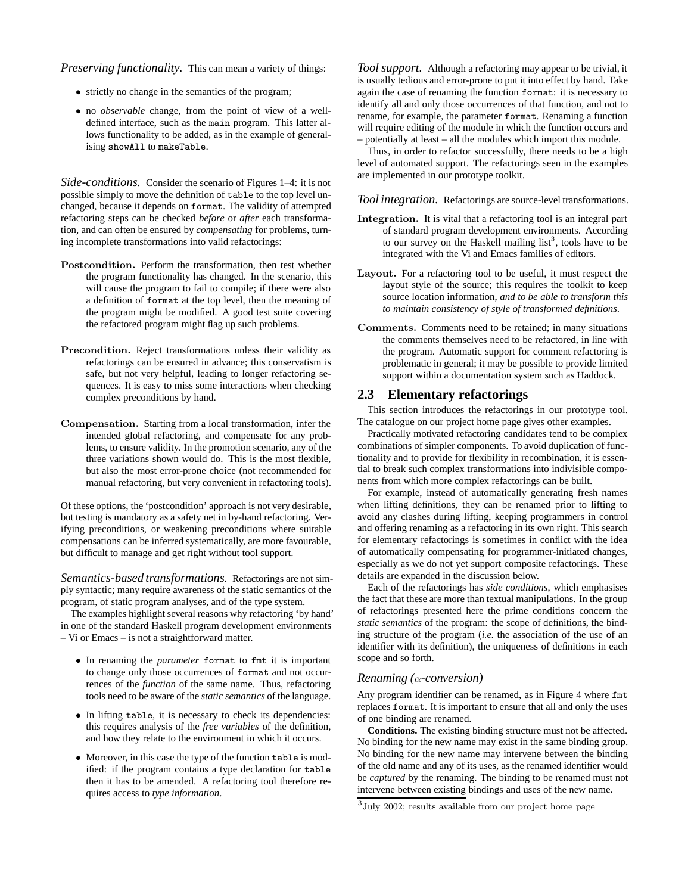*Preserving functionality.* This can mean a variety of things:

- strictly no change in the semantics of the program;
- no *observable* change, from the point of view of a welldefined interface, such as the main program. This latter allows functionality to be added, as in the example of generalising showAll to makeTable.

*Side-conditions.* Consider the scenario of Figures 1–4: it is not possible simply to move the definition of table to the top level unchanged, because it depends on format. The validity of attempted refactoring steps can be checked *before* or *after* each transformation, and can often be ensured by *compensating* for problems, turning incomplete transformations into valid refactorings:

- Postcondition. Perform the transformation, then test whether the program functionality has changed. In the scenario, this will cause the program to fail to compile; if there were also a definition of format at the top level, then the meaning of the program might be modified. A good test suite covering the refactored program might flag up such problems.
- Precondition. Reject transformations unless their validity as refactorings can be ensured in advance; this conservatism is safe, but not very helpful, leading to longer refactoring sequences. It is easy to miss some interactions when checking complex preconditions by hand.
- Compensation. Starting from a local transformation, infer the intended global refactoring, and compensate for any problems, to ensure validity. In the promotion scenario, any of the three variations shown would do. This is the most flexible, but also the most error-prone choice (not recommended for manual refactoring, but very convenient in refactoring tools).

Of these options, the 'postcondition' approach is not very desirable, but testing is mandatory as a safety net in by-hand refactoring. Verifying preconditions, or weakening preconditions where suitable compensations can be inferred systematically, are more favourable, but difficult to manage and get right without tool support.

*Semantics-based transformations.* Refactorings are not simply syntactic; many require awareness of the static semantics of the program, of static program analyses, and of the type system.

The examples highlight several reasons why refactoring 'by hand' in one of the standard Haskell program development environments – Vi or Emacs – is not a straightforward matter.

- In renaming the *parameter* format to fmt it is important to change only those occurrences of format and not occurrences of the *function* of the same name. Thus, refactoring tools need to be aware of the *static semantics* of the language.
- In lifting table, it is necessary to check its dependencies: this requires analysis of the *free variables* of the definition, and how they relate to the environment in which it occurs.
- Moreover, in this case the type of the function table is modified: if the program contains a type declaration for table then it has to be amended. A refactoring tool therefore requires access to *type information*.

*Tool support.* Although a refactoring may appear to be trivial, it is usually tedious and error-prone to put it into effect by hand. Take again the case of renaming the function format: it is necessary to identify all and only those occurrences of that function, and not to rename, for example, the parameter format. Renaming a function will require editing of the module in which the function occurs and – potentially at least – all the modules which import this module.

Thus, in order to refactor successfully, there needs to be a high level of automated support. The refactorings seen in the examples are implemented in our prototype toolkit.

*Tool integration.* Refactorings are source-level transformations.

- Integration. It is vital that a refactoring tool is an integral part of standard program development environments. According to our survey on the Haskell mailing list<sup>3</sup>, tools have to be integrated with the Vi and Emacs families of editors.
- Layout. For a refactoring tool to be useful, it must respect the layout style of the source; this requires the toolkit to keep source location information, *and to be able to transform this to maintain consistency of style of transformed definitions*.
- Comments. Comments need to be retained; in many situations the comments themselves need to be refactored, in line with the program. Automatic support for comment refactoring is problematic in general; it may be possible to provide limited support within a documentation system such as Haddock.

#### **2.3 Elementary refactorings**

This section introduces the refactorings in our prototype tool. The catalogue on our project home page gives other examples.

Practically motivated refactoring candidates tend to be complex combinations of simpler components. To avoid duplication of functionality and to provide for flexibility in recombination, it is essential to break such complex transformations into indivisible components from which more complex refactorings can be built.

For example, instead of automatically generating fresh names when lifting definitions, they can be renamed prior to lifting to avoid any clashes during lifting, keeping programmers in control and offering renaming as a refactoring in its own right. This search for elementary refactorings is sometimes in conflict with the idea of automatically compensating for programmer-initiated changes, especially as we do not yet support composite refactorings. These details are expanded in the discussion below.

Each of the refactorings has *side conditions*, which emphasises the fact that these are more than textual manipulations. In the group of refactorings presented here the prime conditions concern the *static semantics* of the program: the scope of definitions, the binding structure of the program (*i.e.* the association of the use of an identifier with its definition), the uniqueness of definitions in each scope and so forth.

#### *Renaming (*α*-conversion)*

Any program identifier can be renamed, as in Figure 4 where fmt replaces format. It is important to ensure that all and only the uses of one binding are renamed.

**Conditions.** The existing binding structure must not be affected. No binding for the new name may exist in the same binding group. No binding for the new name may intervene between the binding of the old name and any of its uses, as the renamed identifier would be *captured* by the renaming. The binding to be renamed must not intervene between existing bindings and uses of the new name.

<sup>3</sup> July 2002; results available from our project home page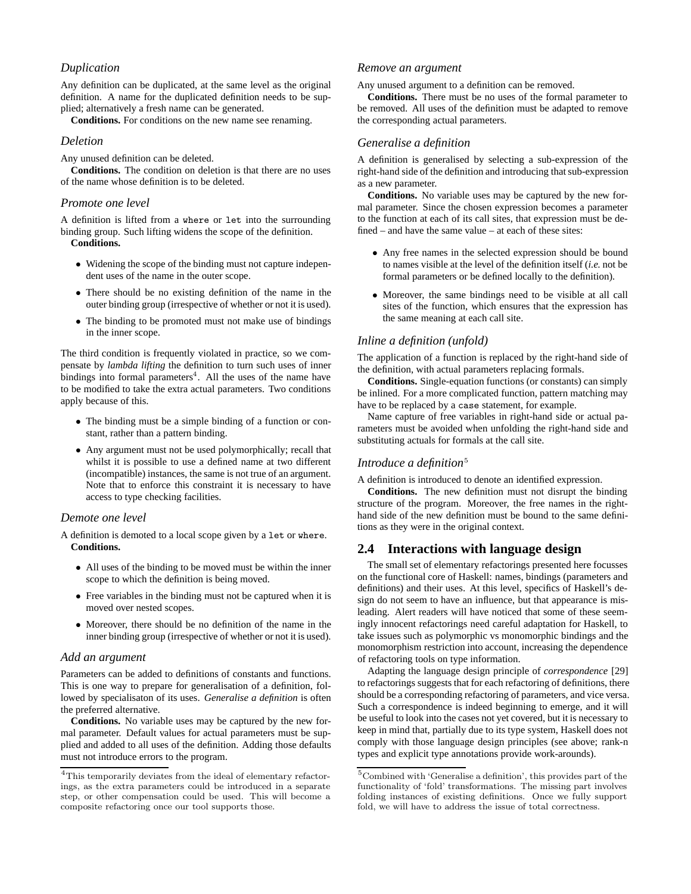#### *Duplication*

Any definition can be duplicated, at the same level as the original definition. A name for the duplicated definition needs to be supplied; alternatively a fresh name can be generated.

**Conditions.** For conditions on the new name see renaming.

#### *Deletion*

Any unused definition can be deleted.

**Conditions.** The condition on deletion is that there are no uses of the name whose definition is to be deleted.

#### *Promote one level*

A definition is lifted from a where or let into the surrounding binding group. Such lifting widens the scope of the definition. **Conditions.**

- Widening the scope of the binding must not capture independent uses of the name in the outer scope.
- There should be no existing definition of the name in the outer binding group (irrespective of whether or not it is used).
- The binding to be promoted must not make use of bindings in the inner scope.

The third condition is frequently violated in practice, so we compensate by *lambda lifting* the definition to turn such uses of inner bindings into formal parameters<sup>4</sup>. All the uses of the name have to be modified to take the extra actual parameters. Two conditions apply because of this.

- The binding must be a simple binding of a function or constant, rather than a pattern binding.
- Any argument must not be used polymorphically; recall that whilst it is possible to use a defined name at two different (incompatible) instances, the same is not true of an argument. Note that to enforce this constraint it is necessary to have access to type checking facilities.

#### *Demote one level*

A definition is demoted to a local scope given by a let or where. **Conditions.**

- All uses of the binding to be moved must be within the inner scope to which the definition is being moved.
- Free variables in the binding must not be captured when it is moved over nested scopes.
- Moreover, there should be no definition of the name in the inner binding group (irrespective of whether or not it is used).

#### *Add an argument*

Parameters can be added to definitions of constants and functions. This is one way to prepare for generalisation of a definition, followed by specialisaton of its uses. *Generalise a definition* is often the preferred alternative.

**Conditions.** No variable uses may be captured by the new formal parameter. Default values for actual parameters must be supplied and added to all uses of the definition. Adding those defaults must not introduce errors to the program.

#### *Remove an argument*

Any unused argument to a definition can be removed.

**Conditions.** There must be no uses of the formal parameter to be removed. All uses of the definition must be adapted to remove the corresponding actual parameters.

#### *Generalise a definition*

A definition is generalised by selecting a sub-expression of the right-hand side of the definition and introducing that sub-expression as a new parameter.

**Conditions.** No variable uses may be captured by the new formal parameter. Since the chosen expression becomes a parameter to the function at each of its call sites, that expression must be defined – and have the same value – at each of these sites:

- Any free names in the selected expression should be bound to names visible at the level of the definition itself (*i.e.* not be formal parameters or be defined locally to the definition).
- Moreover, the same bindings need to be visible at all call sites of the function, which ensures that the expression has the same meaning at each call site.

#### *Inline a definition (unfold)*

The application of a function is replaced by the right-hand side of the definition, with actual parameters replacing formals.

**Conditions.** Single-equation functions (or constants) can simply be inlined. For a more complicated function, pattern matching may have to be replaced by a case statement, for example.

Name capture of free variables in right-hand side or actual parameters must be avoided when unfolding the right-hand side and substituting actuals for formals at the call site.

## *Introduce a definition*<sup>5</sup>

A definition is introduced to denote an identified expression.

**Conditions.** The new definition must not disrupt the binding structure of the program. Moreover, the free names in the righthand side of the new definition must be bound to the same definitions as they were in the original context.

# **2.4 Interactions with language design**

The small set of elementary refactorings presented here focusses on the functional core of Haskell: names, bindings (parameters and definitions) and their uses. At this level, specifics of Haskell's design do not seem to have an influence, but that appearance is misleading. Alert readers will have noticed that some of these seemingly innocent refactorings need careful adaptation for Haskell, to take issues such as polymorphic vs monomorphic bindings and the monomorphism restriction into account, increasing the dependence of refactoring tools on type information.

Adapting the language design principle of *correspondence* [29] to refactorings suggests that for each refactoring of definitions, there should be a corresponding refactoring of parameters, and vice versa. Such a correspondence is indeed beginning to emerge, and it will be useful to look into the cases not yet covered, but it is necessary to keep in mind that, partially due to its type system, Haskell does not comply with those language design principles (see above; rank-n types and explicit type annotations provide work-arounds).

<sup>4</sup>This temporarily deviates from the ideal of elementary refactorings, as the extra parameters could be introduced in a separate step, or other compensation could be used. This will become a composite refactoring once our tool supports those.

 $^5\mathrm{Combined}$  with 'Generalise a definition', this provides part of the functionality of 'fold' transformations. The missing part involves folding instances of existing definitions. Once we fully support fold, we will have to address the issue of total correctness.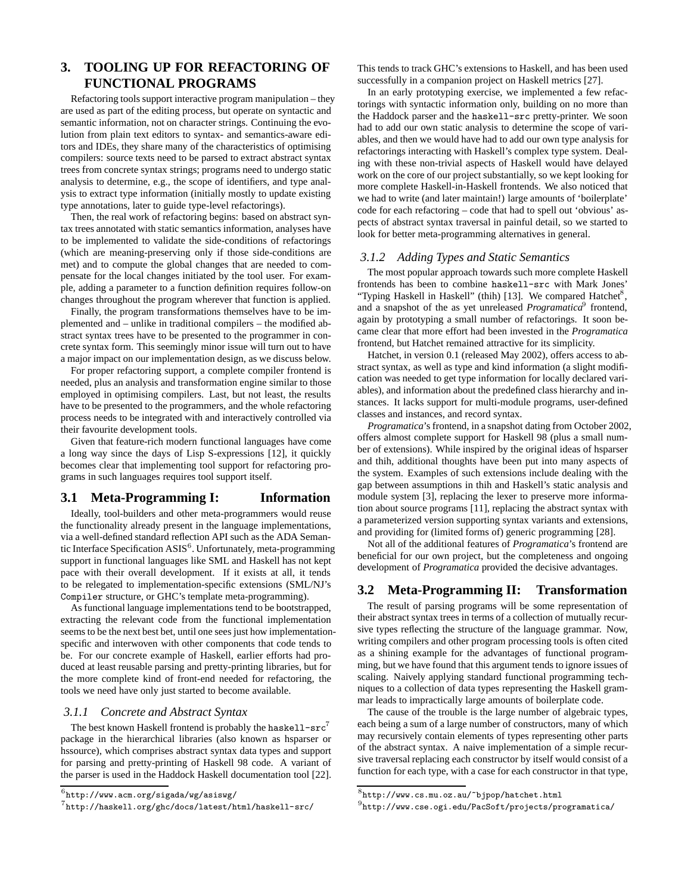# **3. TOOLING UP FOR REFACTORING OF FUNCTIONAL PROGRAMS**

Refactoring tools support interactive program manipulation – they are used as part of the editing process, but operate on syntactic and semantic information, not on character strings. Continuing the evolution from plain text editors to syntax- and semantics-aware editors and IDEs, they share many of the characteristics of optimising compilers: source texts need to be parsed to extract abstract syntax trees from concrete syntax strings; programs need to undergo static analysis to determine, e.g., the scope of identifiers, and type analysis to extract type information (initially mostly to update existing type annotations, later to guide type-level refactorings).

Then, the real work of refactoring begins: based on abstract syntax trees annotated with static semantics information, analyses have to be implemented to validate the side-conditions of refactorings (which are meaning-preserving only if those side-conditions are met) and to compute the global changes that are needed to compensate for the local changes initiated by the tool user. For example, adding a parameter to a function definition requires follow-on changes throughout the program wherever that function is applied.

Finally, the program transformations themselves have to be implemented and – unlike in traditional compilers – the modified abstract syntax trees have to be presented to the programmer in concrete syntax form. This seemingly minor issue will turn out to have a major impact on our implementation design, as we discuss below.

For proper refactoring support, a complete compiler frontend is needed, plus an analysis and transformation engine similar to those employed in optimising compilers. Last, but not least, the results have to be presented to the programmers, and the whole refactoring process needs to be integrated with and interactively controlled via their favourite development tools.

Given that feature-rich modern functional languages have come a long way since the days of Lisp S-expressions [12], it quickly becomes clear that implementing tool support for refactoring programs in such languages requires tool support itself.

#### **3.1 Meta-Programming I: Information**

Ideally, tool-builders and other meta-programmers would reuse the functionality already present in the language implementations, via a well-defined standard reflection API such as the ADA Semantic Interface Specification ASIS<sup>6</sup>. Unfortunately, meta-programming support in functional languages like SML and Haskell has not kept pace with their overall development. If it exists at all, it tends to be relegated to implementation-specific extensions (SML/NJ's Compiler structure, or GHC's template meta-programming).

As functional language implementations tend to be bootstrapped, extracting the relevant code from the functional implementation seems to be the next best bet, until one sees just how implementationspecific and interwoven with other components that code tends to be. For our concrete example of Haskell, earlier efforts had produced at least reusable parsing and pretty-printing libraries, but for the more complete kind of front-end needed for refactoring, the tools we need have only just started to become available.

#### *3.1.1 Concrete and Abstract Syntax*

The best known Haskell frontend is probably the haskell- $src^7$ package in the hierarchical libraries (also known as hsparser or hssource), which comprises abstract syntax data types and support for parsing and pretty-printing of Haskell 98 code. A variant of the parser is used in the Haddock Haskell documentation tool [22].

This tends to track GHC's extensions to Haskell, and has been used successfully in a companion project on Haskell metrics [27].

In an early prototyping exercise, we implemented a few refactorings with syntactic information only, building on no more than the Haddock parser and the haskell-src pretty-printer. We soon had to add our own static analysis to determine the scope of variables, and then we would have had to add our own type analysis for refactorings interacting with Haskell's complex type system. Dealing with these non-trivial aspects of Haskell would have delayed work on the core of our project substantially, so we kept looking for more complete Haskell-in-Haskell frontends. We also noticed that we had to write (and later maintain!) large amounts of 'boilerplate' code for each refactoring – code that had to spell out 'obvious' aspects of abstract syntax traversal in painful detail, so we started to look for better meta-programming alternatives in general.

#### *3.1.2 Adding Types and Static Semantics*

The most popular approach towards such more complete Haskell frontends has been to combine haskell-src with Mark Jones' "Typing Haskell in Haskell" (thih) [13]. We compared Hatchet<sup>8</sup>, and a snapshot of the as yet unreleased *Programatica*<sup>9</sup> frontend, again by prototyping a small number of refactorings. It soon became clear that more effort had been invested in the *Programatica* frontend, but Hatchet remained attractive for its simplicity.

Hatchet, in version 0.1 (released May 2002), offers access to abstract syntax, as well as type and kind information (a slight modification was needed to get type information for locally declared variables), and information about the predefined class hierarchy and instances. It lacks support for multi-module programs, user-defined classes and instances, and record syntax.

*Programatica*'s frontend, in a snapshot dating from October 2002, offers almost complete support for Haskell 98 (plus a small number of extensions). While inspired by the original ideas of hsparser and thih, additional thoughts have been put into many aspects of the system. Examples of such extensions include dealing with the gap between assumptions in thih and Haskell's static analysis and module system [3], replacing the lexer to preserve more information about source programs [11], replacing the abstract syntax with a parameterized version supporting syntax variants and extensions, and providing for (limited forms of) generic programming [28].

Not all of the additional features of *Programatica*'s frontend are beneficial for our own project, but the completeness and ongoing development of *Programatica* provided the decisive advantages.

# **3.2 Meta-Programming II: Transformation**

The result of parsing programs will be some representation of their abstract syntax trees in terms of a collection of mutually recursive types reflecting the structure of the language grammar. Now, writing compilers and other program processing tools is often cited as a shining example for the advantages of functional programming, but we have found that this argument tends to ignore issues of scaling. Naively applying standard functional programming techniques to a collection of data types representing the Haskell grammar leads to impractically large amounts of boilerplate code.

The cause of the trouble is the large number of algebraic types, each being a sum of a large number of constructors, many of which may recursively contain elements of types representing other parts of the abstract syntax. A naive implementation of a simple recursive traversal replacing each constructor by itself would consist of a function for each type, with a case for each constructor in that type,

 $^6$ http://www.acm.org/sigada/wg/asiswg/

<sup>7</sup> http://haskell.org/ghc/docs/latest/html/haskell-src/

 $^8$ http://www.cs.mu.oz.au/~bjpop/hatchet.html

<sup>。&</sup>lt;br><sup>9</sup>http://www.cse.ogi.edu/PacSoft/projects/programatica/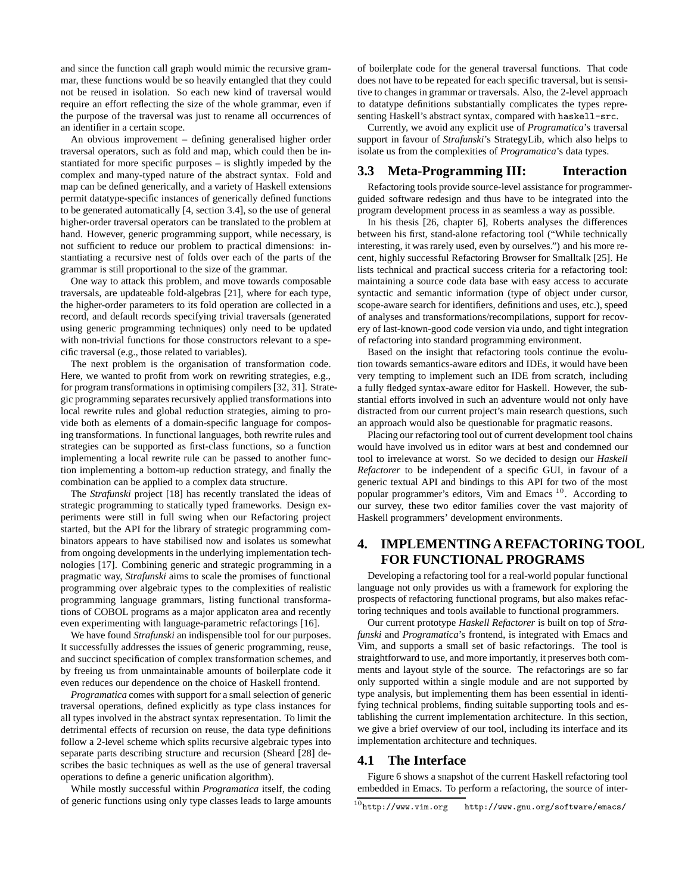and since the function call graph would mimic the recursive grammar, these functions would be so heavily entangled that they could not be reused in isolation. So each new kind of traversal would require an effort reflecting the size of the whole grammar, even if the purpose of the traversal was just to rename all occurrences of an identifier in a certain scope.

An obvious improvement – defining generalised higher order traversal operators, such as fold and map, which could then be instantiated for more specific purposes – is slightly impeded by the complex and many-typed nature of the abstract syntax. Fold and map can be defined generically, and a variety of Haskell extensions permit datatype-specific instances of generically defined functions to be generated automatically [4, section 3.4], so the use of general higher-order traversal operators can be translated to the problem at hand. However, generic programming support, while necessary, is not sufficient to reduce our problem to practical dimensions: instantiating a recursive nest of folds over each of the parts of the grammar is still proportional to the size of the grammar.

One way to attack this problem, and move towards composable traversals, are updateable fold-algebras [21], where for each type, the higher-order parameters to its fold operation are collected in a record, and default records specifying trivial traversals (generated using generic programming techniques) only need to be updated with non-trivial functions for those constructors relevant to a specific traversal (e.g., those related to variables).

The next problem is the organisation of transformation code. Here, we wanted to profit from work on rewriting strategies, e.g., for program transformations in optimising compilers [32, 31]. Strategic programming separates recursively applied transformations into local rewrite rules and global reduction strategies, aiming to provide both as elements of a domain-specific language for composing transformations. In functional languages, both rewrite rules and strategies can be supported as first-class functions, so a function implementing a local rewrite rule can be passed to another function implementing a bottom-up reduction strategy, and finally the combination can be applied to a complex data structure.

The *Strafunski* project [18] has recently translated the ideas of strategic programming to statically typed frameworks. Design experiments were still in full swing when our Refactoring project started, but the API for the library of strategic programming combinators appears to have stabilised now and isolates us somewhat from ongoing developments in the underlying implementation technologies [17]. Combining generic and strategic programming in a pragmatic way, *Strafunski* aims to scale the promises of functional programming over algebraic types to the complexities of realistic programming language grammars, listing functional transformations of COBOL programs as a major applicaton area and recently even experimenting with language-parametric refactorings [16].

We have found *Strafunski* an indispensible tool for our purposes. It successfully addresses the issues of generic programming, reuse, and succinct specification of complex transformation schemes, and by freeing us from unmaintainable amounts of boilerplate code it even reduces our dependence on the choice of Haskell frontend.

*Programatica* comes with support for a small selection of generic traversal operations, defined explicitly as type class instances for all types involved in the abstract syntax representation. To limit the detrimental effects of recursion on reuse, the data type definitions follow a 2-level scheme which splits recursive algebraic types into separate parts describing structure and recursion (Sheard [28] describes the basic techniques as well as the use of general traversal operations to define a generic unification algorithm).

While mostly successful within *Programatica* itself, the coding of generic functions using only type classes leads to large amounts of boilerplate code for the general traversal functions. That code does not have to be repeated for each specific traversal, but is sensitive to changes in grammar or traversals. Also, the 2-level approach to datatype definitions substantially complicates the types representing Haskell's abstract syntax, compared with haskell-src.

Currently, we avoid any explicit use of *Programatica*'s traversal support in favour of *Strafunski*'s StrategyLib, which also helps to isolate us from the complexities of *Programatica*'s data types.

#### **3.3 Meta-Programming III: Interaction**

Refactoring tools provide source-level assistance for programmerguided software redesign and thus have to be integrated into the program development process in as seamless a way as possible.

In his thesis [26, chapter 6], Roberts analyses the differences between his first, stand-alone refactoring tool ("While technically interesting, it was rarely used, even by ourselves.") and his more recent, highly successful Refactoring Browser for Smalltalk [25]. He lists technical and practical success criteria for a refactoring tool: maintaining a source code data base with easy access to accurate syntactic and semantic information (type of object under cursor, scope-aware search for identifiers, definitions and uses, etc.), speed of analyses and transformations/recompilations, support for recovery of last-known-good code version via undo, and tight integration of refactoring into standard programming environment.

Based on the insight that refactoring tools continue the evolution towards semantics-aware editors and IDEs, it would have been very tempting to implement such an IDE from scratch, including a fully fledged syntax-aware editor for Haskell. However, the substantial efforts involved in such an adventure would not only have distracted from our current project's main research questions, such an approach would also be questionable for pragmatic reasons.

Placing our refactoring tool out of current development tool chains would have involved us in editor wars at best and condemned our tool to irrelevance at worst. So we decided to design our *Haskell Refactorer* to be independent of a specific GUI, in favour of a generic textual API and bindings to this API for two of the most popular programmer's editors, Vim and Emacs  $10$ . According to our survey, these two editor families cover the vast majority of Haskell programmers' development environments.

# **4. IMPLEMENTING A REFACTORING TOOL FOR FUNCTIONAL PROGRAMS**

Developing a refactoring tool for a real-world popular functional language not only provides us with a framework for exploring the prospects of refactoring functional programs, but also makes refactoring techniques and tools available to functional programmers.

Our current prototype *Haskell Refactorer* is built on top of *Strafunski* and *Programatica*'s frontend, is integrated with Emacs and Vim, and supports a small set of basic refactorings. The tool is straightforward to use, and more importantly, it preserves both comments and layout style of the source. The refactorings are so far only supported within a single module and are not supported by type analysis, but implementing them has been essential in identifying technical problems, finding suitable supporting tools and establishing the current implementation architecture. In this section, we give a brief overview of our tool, including its interface and its implementation architecture and techniques.

#### **4.1 The Interface**

Figure 6 shows a snapshot of the current Haskell refactoring tool embedded in Emacs. To perform a refactoring, the source of inter-

 $\overline{10}_{\tt http://www.vim.org}$  http://www.gnu.org/software/emacs/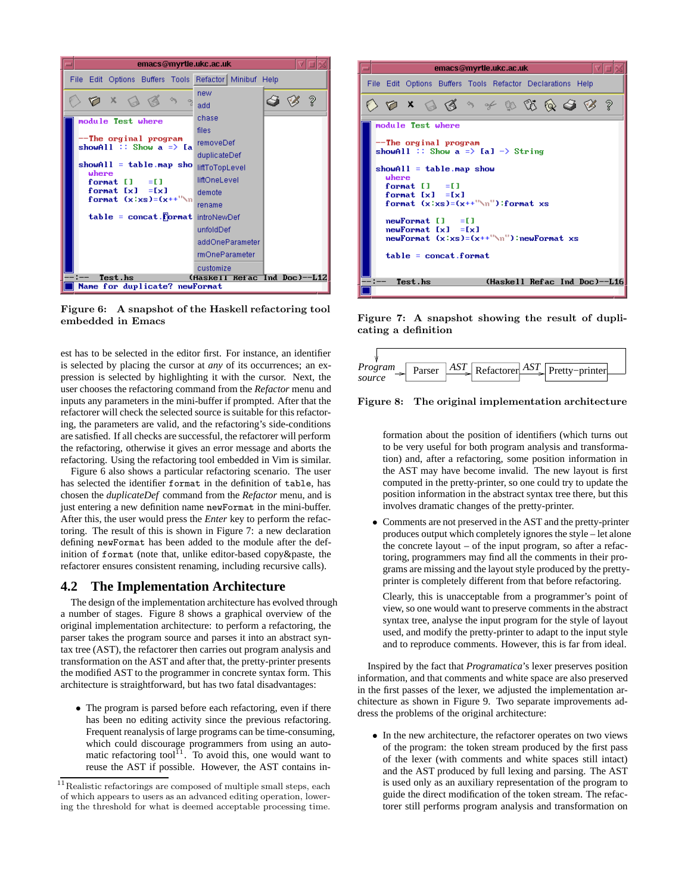

Figure 6: A snapshot of the Haskell refactoring tool embedded in Emacs

est has to be selected in the editor first. For instance, an identifier is selected by placing the cursor at *any* of its occurrences; an expression is selected by highlighting it with the cursor. Next, the user chooses the refactoring command from the *Refactor* menu and inputs any parameters in the mini-buffer if prompted. After that the refactorer will check the selected source is suitable for this refactoring, the parameters are valid, and the refactoring's side-conditions are satisfied. If all checks are successful, the refactorer will perform the refactoring, otherwise it gives an error message and aborts the refactoring. Using the refactoring tool embedded in Vim is similar.

Figure 6 also shows a particular refactoring scenario. The user has selected the identifier format in the definition of table, has chosen the *duplicateDef* command from the *Refactor* menu, and is just entering a new definition name newFormat in the mini-buffer. After this, the user would press the *Enter* key to perform the refactoring. The result of this is shown in Figure 7: a new declaration defining newFormat has been added to the module after the definition of format (note that, unlike editor-based copy&paste, the refactorer ensures consistent renaming, including recursive calls).

#### **4.2 The Implementation Architecture**

The design of the implementation architecture has evolved through a number of stages. Figure 8 shows a graphical overview of the original implementation architecture: to perform a refactoring, the parser takes the program source and parses it into an abstract syntax tree (AST), the refactorer then carries out program analysis and transformation on the AST and after that, the pretty-printer presents the modified AST to the programmer in concrete syntax form. This architecture is straightforward, but has two fatal disadvantages:

• The program is parsed before each refactoring, even if there has been no editing activity since the previous refactoring. Frequent reanalysis of large programs can be time-consuming, which could discourage programmers from using an automatic refactoring tool $^{11}$ . To avoid this, one would want to reuse the AST if possible. However, the AST contains in-



Figure 7: A snapshot showing the result of duplicating a definition



Figure 8: The original implementation architecture

formation about the position of identifiers (which turns out to be very useful for both program analysis and transformation) and, after a refactoring, some position information in the AST may have become invalid. The new layout is first computed in the pretty-printer, so one could try to update the position information in the abstract syntax tree there, but this involves dramatic changes of the pretty-printer.

• Comments are not preserved in the AST and the pretty-printer produces output which completely ignores the style – let alone the concrete layout – of the input program, so after a refactoring, programmers may find all the comments in their programs are missing and the layout style produced by the prettyprinter is completely different from that before refactoring.

Clearly, this is unacceptable from a programmer's point of view, so one would want to preserve comments in the abstract syntax tree, analyse the input program for the style of layout used, and modify the pretty-printer to adapt to the input style and to reproduce comments. However, this is far from ideal.

Inspired by the fact that *Programatica*'s lexer preserves position information, and that comments and white space are also preserved in the first passes of the lexer, we adjusted the implementation architecture as shown in Figure 9. Two separate improvements address the problems of the original architecture:

• In the new architecture, the refactorer operates on two views of the program: the token stream produced by the first pass of the lexer (with comments and white spaces still intact) and the AST produced by full lexing and parsing. The AST is used only as an auxiliary representation of the program to guide the direct modification of the token stream. The refactorer still performs program analysis and transformation on

 $^{11}\rm{Realistic\ refactorings}$  are composed of multiple small steps, each of which appears to users as an advanced editing operation, lowering the threshold for what is deemed acceptable processing time.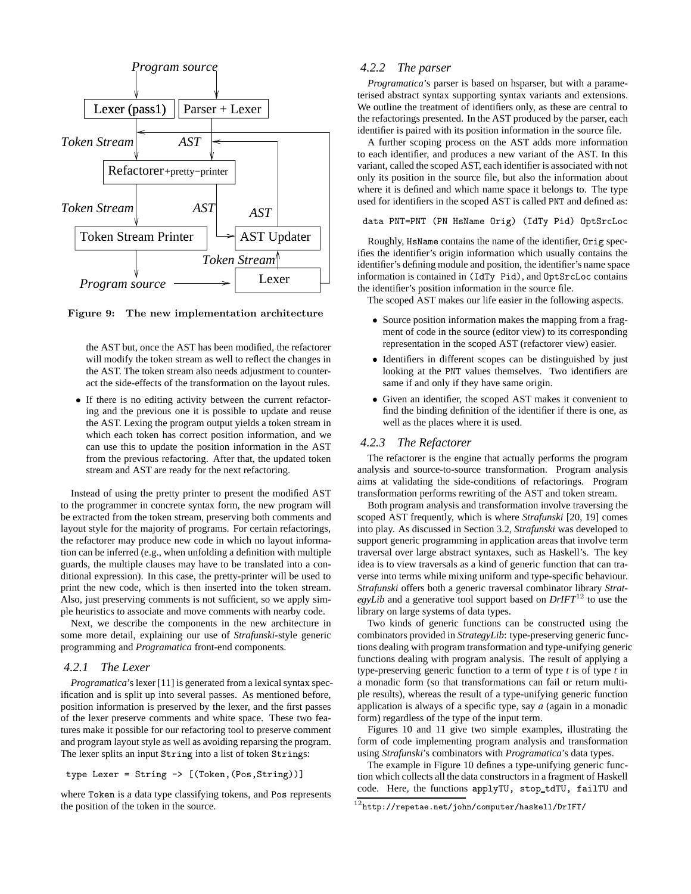

Figure 9: The new implementation architecture

the AST but, once the AST has been modified, the refactorer will modify the token stream as well to reflect the changes in the AST. The token stream also needs adjustment to counteract the side-effects of the transformation on the layout rules.

• If there is no editing activity between the current refactoring and the previous one it is possible to update and reuse the AST. Lexing the program output yields a token stream in which each token has correct position information, and we can use this to update the position information in the AST from the previous refactoring. After that, the updated token stream and AST are ready for the next refactoring.

Instead of using the pretty printer to present the modified AST to the programmer in concrete syntax form, the new program will be extracted from the token stream, preserving both comments and layout style for the majority of programs. For certain refactorings, the refactorer may produce new code in which no layout information can be inferred (e.g., when unfolding a definition with multiple guards, the multiple clauses may have to be translated into a conditional expression). In this case, the pretty-printer will be used to print the new code, which is then inserted into the token stream. Also, just preserving comments is not sufficient, so we apply simple heuristics to associate and move comments with nearby code.

Next, we describe the components in the new architecture in some more detail, explaining our use of *Strafunski*-style generic programming and *Programatica* front-end components.

#### *4.2.1 The Lexer*

*Programatica*'s lexer [11] is generated from a lexical syntax specification and is split up into several passes. As mentioned before, position information is preserved by the lexer, and the first passes of the lexer preserve comments and white space. These two features make it possible for our refactoring tool to preserve comment and program layout style as well as avoiding reparsing the program. The lexer splits an input String into a list of token Strings:

type Lexer = String -> [(Token,(Pos,String))]

where Token is a data type classifying tokens, and Pos represents the position of the token in the source.

#### *4.2.2 The parser*

*Programatica*'s parser is based on hsparser, but with a parameterised abstract syntax supporting syntax variants and extensions. We outline the treatment of identifiers only, as these are central to the refactorings presented. In the AST produced by the parser, each identifier is paired with its position information in the source file.

A further scoping process on the AST adds more information to each identifier, and produces a new variant of the AST. In this variant, called the scoped AST, each identifier is associated with not only its position in the source file, but also the information about where it is defined and which name space it belongs to. The type used for identifiers in the scoped AST is called PNT and defined as:

data PNT=PNT (PN HsName Orig) (IdTy Pid) OptSrcLoc

Roughly, HsName contains the name of the identifier, Orig specifies the identifier's origin information which usually contains the identifier's defining module and position, the identifier's name space information is contained in (IdTy Pid), and OptSrcLoc contains the identifier's position information in the source file.

The scoped AST makes our life easier in the following aspects.

- Source position information makes the mapping from a fragment of code in the source (editor view) to its corresponding representation in the scoped AST (refactorer view) easier.
- Identifiers in different scopes can be distinguished by just looking at the PNT values themselves. Two identifiers are same if and only if they have same origin.
- Given an identifier, the scoped AST makes it convenient to find the binding definition of the identifier if there is one, as well as the places where it is used.

#### *4.2.3 The Refactorer*

The refactorer is the engine that actually performs the program analysis and source-to-source transformation. Program analysis aims at validating the side-conditions of refactorings. Program transformation performs rewriting of the AST and token stream.

Both program analysis and transformation involve traversing the scoped AST frequently, which is where *Strafunski* [20, 19] comes into play. As discussed in Section 3.2, *Strafunski* was developed to support generic programming in application areas that involve term traversal over large abstract syntaxes, such as Haskell's. The key idea is to view traversals as a kind of generic function that can traverse into terms while mixing uniform and type-specific behaviour. *Strafunski* offers both a generic traversal combinator library *StrategyLib* and a generative tool support based on *DrIFT*<sup>12</sup> to use the library on large systems of data types.

Two kinds of generic functions can be constructed using the combinators provided in *StrategyLib*: type-preserving generic functions dealing with program transformation and type-unifying generic functions dealing with program analysis. The result of applying a type-preserving generic function to a term of type *t* is of type *t* in a monadic form (so that transformations can fail or return multiple results), whereas the result of a type-unifying generic function application is always of a specific type, say *a* (again in a monadic form) regardless of the type of the input term.

Figures 10 and 11 give two simple examples, illustrating the form of code implementing program analysis and transformation using *Strafunski*'s combinators with *Programatica*'s data types.

The example in Figure 10 defines a type-unifying generic function which collects all the data constructors in a fragment of Haskell code. Here, the functions applyTU, stop tdTU, failTU and

 $^{12}$ http://repetae.net/john/computer/haskell/DrIFT/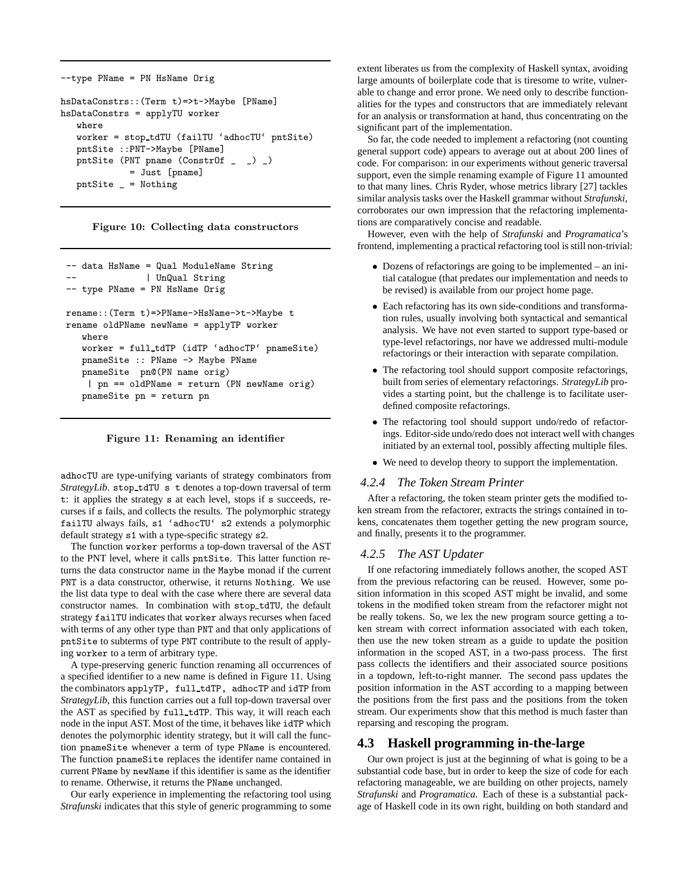```
--type PName = PN HsName Orig
hsDataConstrs::(Term t)=>t->Maybe [PName]
hsDataConstrs = applyTU worker
   where
   worker = stop tdTU (failTU 'adhocTU' pntSite)
   pntSite ::PNT->Maybe [PName]
   pntSite (PNT pname (ConstrOf _ _) _)
             = Just [pname]
   pntSite _ = Nothing
```

|  |  |  | Figure 10: Collecting data constructors |
|--|--|--|-----------------------------------------|
|--|--|--|-----------------------------------------|

```
-- data HsName = Qual ModuleName String
               | UnQual String
-- type PName = PN HsName Orig
rename::(Term t)=>PName->HsName->t->Maybe t
rename oldPName newName = applyTP worker
   where
   worker = full tdTP (idTP 'adhocTP' pnameSite)
   pnameSite :: PName -> Maybe PName
   pnameSite pn@(PN name orig)
    | pn == oldPName = return (PN newName orig)
   pnameSite pn = return pn
```


adhocTU are type-unifying variants of strategy combinators from *StrategyLib.* stop\_tdTU s t denotes a top-down traversal of term t: it applies the strategy s at each level, stops if s succeeds, recurses if s fails, and collects the results. The polymorphic strategy failTU always fails, s1 'adhocTU' s2 extends a polymorphic default strategy s1 with a type-specific strategy s2.

The function worker performs a top-down traversal of the AST to the PNT level, where it calls pntSite. This latter function returns the data constructor name in the Maybe monad if the current PNT is a data constructor, otherwise, it returns Nothing. We use the list data type to deal with the case where there are several data constructor names. In combination with stop tdTU, the default strategy failTU indicates that worker always recurses when faced with terms of any other type than PNT and that only applications of pntSite to subterms of type PNT contribute to the result of applying worker to a term of arbitrary type.

A type-preserving generic function renaming all occurrences of a specified identifier to a new name is defined in Figure 11. Using the combinators applyTP, full tdTP, adhocTP and idTP from *StrategyLib*, this function carries out a full top-down traversal over the AST as specified by full tdTP. This way, it will reach each node in the input AST. Most of the time, it behaves like idTP which denotes the polymorphic identity strategy, but it will call the function pnameSite whenever a term of type PName is encountered. The function pnameSite replaces the identifer name contained in current PName by newName if this identifier is same as the identifier to rename. Otherwise, it returns the PName unchanged.

Our early experience in implementing the refactoring tool using *Strafunski* indicates that this style of generic programming to some extent liberates us from the complexity of Haskell syntax, avoiding large amounts of boilerplate code that is tiresome to write, vulnerable to change and error prone. We need only to describe functionalities for the types and constructors that are immediately relevant for an analysis or transformation at hand, thus concentrating on the significant part of the implementation.

So far, the code needed to implement a refactoring (not counting general support code) appears to average out at about 200 lines of code. For comparison: in our experiments without generic traversal support, even the simple renaming example of Figure 11 amounted to that many lines. Chris Ryder, whose metrics library [27] tackles similar analysis tasks over the Haskell grammar without *Strafunski*, corroborates our own impression that the refactoring implementations are comparatively concise and readable.

However, even with the help of *Strafunski* and *Programatica*'s frontend, implementing a practical refactoring tool is still non-trivial:

- Dozens of refactorings are going to be implemented an initial catalogue (that predates our implementation and needs to be revised) is available from our project home page.
- Each refactoring has its own side-conditions and transformation rules, usually involving both syntactical and semantical analysis. We have not even started to support type-based or type-level refactorings, nor have we addressed multi-module refactorings or their interaction with separate compilation.
- The refactoring tool should support composite refactorings, built from series of elementary refactorings. *StrategyLib* provides a starting point, but the challenge is to facilitate userdefined composite refactorings.
- The refactoring tool should support undo/redo of refactorings. Editor-side undo/redo does not interact well with changes initiated by an external tool, possibly affecting multiple files.
- We need to develop theory to support the implementation.

#### *4.2.4 The Token Stream Printer*

After a refactoring, the token steam printer gets the modified token stream from the refactorer, extracts the strings contained in tokens, concatenates them together getting the new program source, and finally, presents it to the programmer.

#### *4.2.5 The AST Updater*

If one refactoring immediately follows another, the scoped AST from the previous refactoring can be reused. However, some position information in this scoped AST might be invalid, and some tokens in the modified token stream from the refactorer might not be really tokens. So, we lex the new program source getting a token stream with correct information associated with each token, then use the new token stream as a guide to update the position information in the scoped AST, in a two-pass process. The first pass collects the identifiers and their associated source positions in a topdown, left-to-right manner. The second pass updates the position information in the AST according to a mapping between the positions from the first pass and the positions from the token stream. Our experiments show that this method is much faster than reparsing and rescoping the program.

#### **4.3 Haskell programming in-the-large**

Our own project is just at the beginning of what is going to be a substantial code base, but in order to keep the size of code for each refactoring manageable, we are building on other projects, namely *Strafunski* and *Programatica*. Each of these is a substantial package of Haskell code in its own right, building on both standard and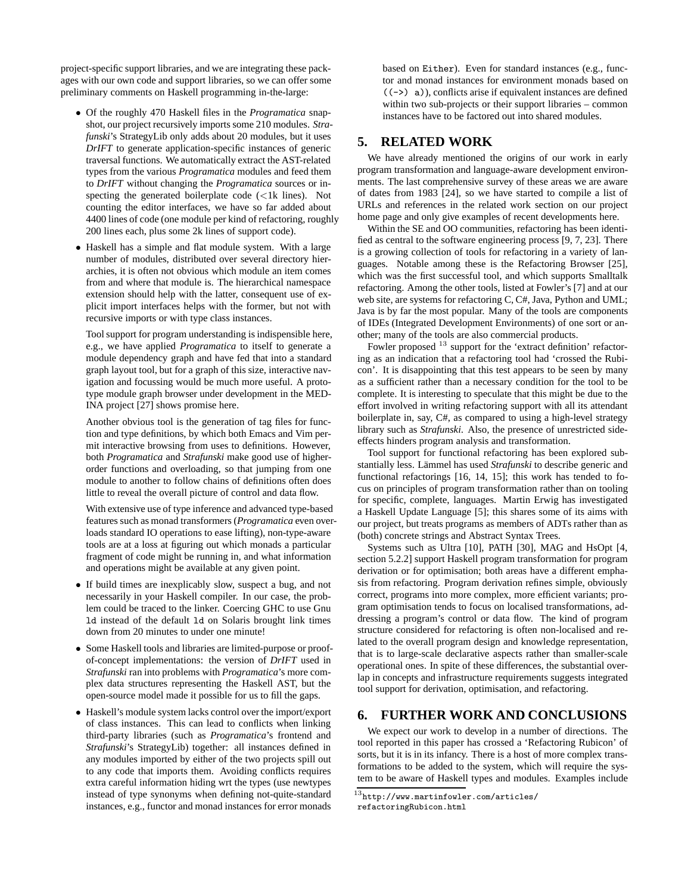project-specific support libraries, and we are integrating these packages with our own code and support libraries, so we can offer some preliminary comments on Haskell programming in-the-large:

- Of the roughly 470 Haskell files in the *Programatica* snapshot, our project recursively imports some 210 modules. *Strafunski*'s StrategyLib only adds about 20 modules, but it uses *DrIFT* to generate application-specific instances of generic traversal functions. We automatically extract the AST-related types from the various *Programatica* modules and feed them to *DrIFT* without changing the *Programatica* sources or inspecting the generated boilerplate code  $(<1k$  lines). Not counting the editor interfaces, we have so far added about 4400 lines of code (one module per kind of refactoring, roughly 200 lines each, plus some 2k lines of support code).
- Haskell has a simple and flat module system. With a large number of modules, distributed over several directory hierarchies, it is often not obvious which module an item comes from and where that module is. The hierarchical namespace extension should help with the latter, consequent use of explicit import interfaces helps with the former, but not with recursive imports or with type class instances.

Tool support for program understanding is indispensible here, e.g., we have applied *Programatica* to itself to generate a module dependency graph and have fed that into a standard graph layout tool, but for a graph of this size, interactive navigation and focussing would be much more useful. A prototype module graph browser under development in the MED-INA project [27] shows promise here.

Another obvious tool is the generation of tag files for function and type definitions, by which both Emacs and Vim permit interactive browsing from uses to definitions. However, both *Programatica* and *Strafunski* make good use of higherorder functions and overloading, so that jumping from one module to another to follow chains of definitions often does little to reveal the overall picture of control and data flow.

With extensive use of type inference and advanced type-based features such as monad transformers (*Programatica* even overloads standard IO operations to ease lifting), non-type-aware tools are at a loss at figuring out which monads a particular fragment of code might be running in, and what information and operations might be available at any given point.

- If build times are inexplicably slow, suspect a bug, and not necessarily in your Haskell compiler. In our case, the problem could be traced to the linker. Coercing GHC to use Gnu ld instead of the default ld on Solaris brought link times down from 20 minutes to under one minute!
- Some Haskell tools and libraries are limited-purpose or proofof-concept implementations: the version of *DrIFT* used in *Strafunski* ran into problems with *Programatica*'s more complex data structures representing the Haskell AST, but the open-source model made it possible for us to fill the gaps.
- Haskell's module system lacks control over the import/export of class instances. This can lead to conflicts when linking third-party libraries (such as *Programatica*'s frontend and *Strafunski*'s StrategyLib) together: all instances defined in any modules imported by either of the two projects spill out to any code that imports them. Avoiding conflicts requires extra careful information hiding wrt the types (use newtypes instead of type synonyms when defining not-quite-standard instances, e.g., functor and monad instances for error monads

based on Either). Even for standard instances (e.g., functor and monad instances for environment monads based on  $((\rightarrow) \, a)$ , conflicts arise if equivalent instances are defined within two sub-projects or their support libraries – common instances have to be factored out into shared modules.

## **5. RELATED WORK**

We have already mentioned the origins of our work in early program transformation and language-aware development environments. The last comprehensive survey of these areas we are aware of dates from 1983 [24], so we have started to compile a list of URLs and references in the related work section on our project home page and only give examples of recent developments here.

Within the SE and OO communities, refactoring has been identified as central to the software engineering process [9, 7, 23]. There is a growing collection of tools for refactoring in a variety of languages. Notable among these is the Refactoring Browser [25], which was the first successful tool, and which supports Smalltalk refactoring. Among the other tools, listed at Fowler's [7] and at our web site, are systems for refactoring C, C#, Java, Python and UML; Java is by far the most popular. Many of the tools are components of IDEs (Integrated Development Environments) of one sort or another; many of the tools are also commercial products.

Fowler proposed <sup>13</sup> support for the 'extract definition' refactoring as an indication that a refactoring tool had 'crossed the Rubicon'. It is disappointing that this test appears to be seen by many as a sufficient rather than a necessary condition for the tool to be complete. It is interesting to speculate that this might be due to the effort involved in writing refactoring support with all its attendant boilerplate in, say, C#, as compared to using a high-level strategy library such as *Strafunski*. Also, the presence of unrestricted sideeffects hinders program analysis and transformation.

Tool support for functional refactoring has been explored substantially less. Lämmel has used *Strafunski* to describe generic and functional refactorings [16, 14, 15]; this work has tended to focus on principles of program transformation rather than on tooling for specific, complete, languages. Martin Erwig has investigated a Haskell Update Language [5]; this shares some of its aims with our project, but treats programs as members of ADTs rather than as (both) concrete strings and Abstract Syntax Trees.

Systems such as Ultra [10], PATH [30], MAG and HsOpt [4, section 5.2.2] support Haskell program transformation for program derivation or for optimisation; both areas have a different emphasis from refactoring. Program derivation refines simple, obviously correct, programs into more complex, more efficient variants; program optimisation tends to focus on localised transformations, addressing a program's control or data flow. The kind of program structure considered for refactoring is often non-localised and related to the overall program design and knowledge representation, that is to large-scale declarative aspects rather than smaller-scale operational ones. In spite of these differences, the substantial overlap in concepts and infrastructure requirements suggests integrated tool support for derivation, optimisation, and refactoring.

### **6. FURTHER WORK AND CONCLUSIONS**

We expect our work to develop in a number of directions. The tool reported in this paper has crossed a 'Refactoring Rubicon' of sorts, but it is in its infancy. There is a host of more complex transformations to be added to the system, which will require the system to be aware of Haskell types and modules. Examples include

 $^{13}$ http://www.martinfowler.com/articles/ refactoringRubicon.html